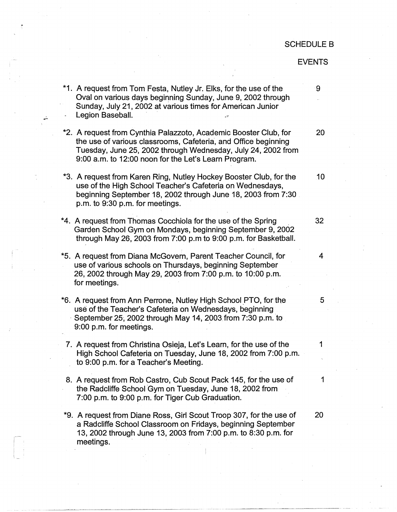## SCHEDULE B

## EVENTS

\*1. A request from Tom Festa, Nutley Jr. Elks, for the use of the Oval on various days beginning Sunday, June 9, 2002 through Sunday, July 21, 2002 at various times for American Junior Legion Baseball. 9 \*2. A request from Cynthia Palazzoto, Academic Booster Club, for 20 the use of various classrooms, Cafeteria, and Office beginning Tuesday, June 25, 2002 through Wednesday, July 24, 2002 from 9:00 a.m. to 12:00 noon for the Let's Learn Program. \*3. A request from Karen Ring, Nutley Hockey Booster Club, for the 10 use of the High School Teacher's Cafeteria on Wednesdays, beginning September 18, 2002 through June 18, 2003 from 7:30 p.m. to 9:30 p,m. for meetings. \*4. A request from Thomas Cocchiola for the use of the Spring . 32 Garden School Gym on Mondays, beginning September 9, 2002 through May 26, 2003 from 7:00 p.m to 9:00 p.m. for Basketball. \*5. A request from Diana McGovern, Parent Teacher Council, for 4 use of various schools on Thursdays, beginning September 26, 2002 through May 29, 2003 from 7:00 p.m. to 10:00 p.m. for meetings. \*6. A request from Ann Perrone, Nutley High School PTO, for the 5 use of the Teacher's Cafeteria on Wednesdays, beginning September 25, 2002 through May 14, 2003 from 7:30 p.m. to 9:00 p.m. for meetings. 7. A request from Christina Osieja, Let's Learn, for the use of the 1 High School Cafeteria on Tuesday, June 18, 2002 from 7:00 p.m. to 9:00 p.m. for a Teacher's Meeting. 8. A request from Rob Castro, Cub Scout Pack 145, for the use of 1 the Radcliffe School Gym on Tuesday, June 18, 2002 from 7:00 p.m. to 9:00 p.m. for Tiger Cub Graduation. \*9. A request from Diane Ross, Girl Scout Troop 307, for the use of 20 a Radcliffe School Classroom on Fridays, beginning September 13, 2002 through June 13, 2003 from 7:00 p.m. to 8:30 p.m. for meetings.